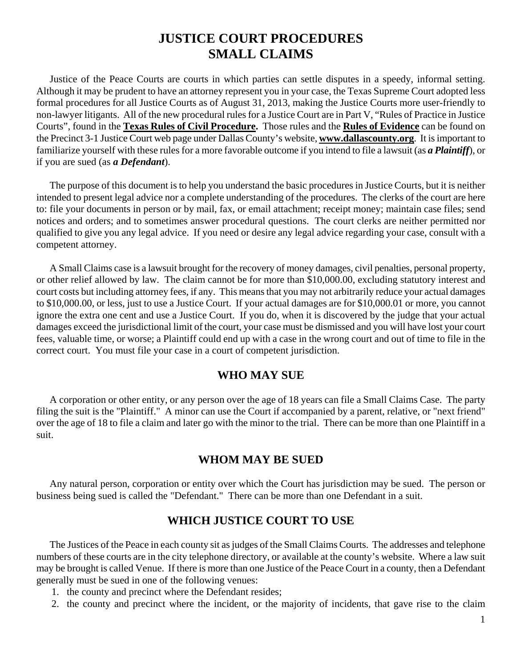# **JUSTICE COURT PROCEDURES SMALL CLAIMS**

Justice of the Peace Courts are courts in which parties can settle disputes in a speedy, informal setting. Although it may be prudent to have an attorney represent you in your case, the Texas Supreme Court adopted less formal procedures for all Justice Courts as of August 31, 2013, making the Justice Courts more user-friendly to non-lawyer litigants. All of the new procedural rules for a Justice Court are in Part V, "Rules of Practice in Justice Courts", found in the **Texas Rules of Civil Procedure.** Those rules and the **Rules of Evidence** can be found on the Precinct 3-1 Justice Court web page under Dallas County's website, **[www.dallascounty.org](http://www.dallascounty.org/)**. It is important to familiarize yourself with these rules for a more favorable outcome if you intend to file a lawsuit (as *a Plaintiff*), or if you are sued (as *a Defendant*).

The purpose of this document is to help you understand the basic procedures in Justice Courts, but it is neither intended to present legal advice nor a complete understanding of the procedures. The clerks of the court are here to: file your documents in person or by mail, fax, or email attachment; receipt money; maintain case files; send notices and orders; and to sometimes answer procedural questions. The court clerks are neither permitted nor qualified to give you any legal advice. If you need or desire any legal advice regarding your case, consult with a competent attorney.

A Small Claims case is a lawsuit brought for the recovery of money damages, civil penalties, personal property, or other relief allowed by law. The claim cannot be for more than \$10,000.00, excluding statutory interest and court costs but including attorney fees, if any. This means that you may not arbitrarily reduce your actual damages to \$10,000.00, or less, just to use a Justice Court. If your actual damages are for \$10,000.01 or more, you cannot ignore the extra one cent and use a Justice Court. If you do, when it is discovered by the judge that your actual damages exceed the jurisdictional limit of the court, your case must be dismissed and you will have lost your court fees, valuable time, or worse; a Plaintiff could end up with a case in the wrong court and out of time to file in the correct court. You must file your case in a court of competent jurisdiction.

### **WHO MAY SUE**

A corporation or other entity, or any person over the age of 18 years can file a Small Claims Case. The party filing the suit is the "Plaintiff." A minor can use the Court if accompanied by a parent, relative, or "next friend" over the age of 18 to file a claim and later go with the minor to the trial. There can be more than one Plaintiff in a suit.

### **WHOM MAY BE SUED**

Any natural person, corporation or entity over which the Court has jurisdiction may be sued. The person or business being sued is called the "Defendant." There can be more than one Defendant in a suit.

## **WHICH JUSTICE COURT TO USE**

The Justices of the Peace in each county sit as judges of the Small Claims Courts. The addresses and telephone numbers of these courts are in the city telephone directory, or available at the county's website. Where a law suit may be brought is called Venue. If there is more than one Justice of the Peace Court in a county, then a Defendant generally must be sued in one of the following venues:

- 1. the county and precinct where the Defendant resides;
- 2. the county and precinct where the incident, or the majority of incidents, that gave rise to the claim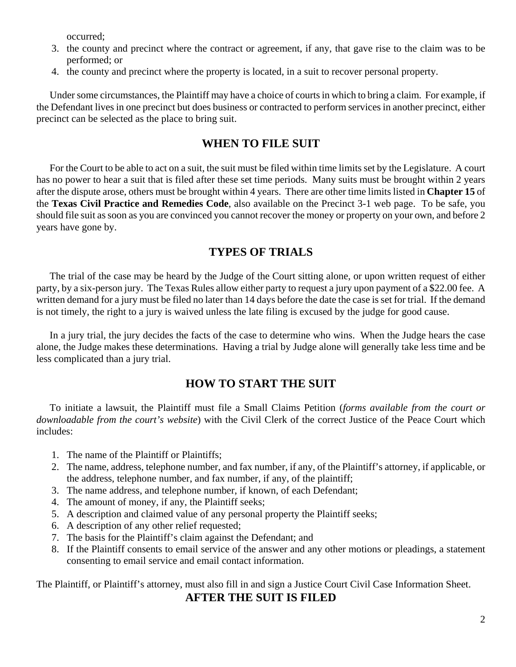occurred;

- 3. the county and precinct where the contract or agreement, if any, that gave rise to the claim was to be performed; or
- 4. the county and precinct where the property is located, in a suit to recover personal property.

Under some circumstances, the Plaintiff may have a choice of courts in which to bring a claim. For example, if the Defendant lives in one precinct but does business or contracted to perform services in another precinct, either precinct can be selected as the place to bring suit.

## **WHEN TO FILE SUIT**

For the Court to be able to act on a suit, the suit must be filed within time limits set by the Legislature. A court has no power to hear a suit that is filed after these set time periods. Many suits must be brought within 2 years after the dispute arose, others must be brought within 4 years. There are other time limits listed in **Chapter 15** of the **Texas Civil Practice and Remedies Code**, also available on the Precinct 3-1 web page. To be safe, you should file suit as soon as you are convinced you cannot recover the money or property on your own, and before 2 years have gone by.

## **TYPES OF TRIALS**

The trial of the case may be heard by the Judge of the Court sitting alone, or upon written request of either party, by a six-person jury. The Texas Rules allow either party to request a jury upon payment of a \$22.00 fee. A written demand for a jury must be filed no later than 14 days before the date the case is set for trial. If the demand is not timely, the right to a jury is waived unless the late filing is excused by the judge for good cause.

In a jury trial, the jury decides the facts of the case to determine who wins. When the Judge hears the case alone, the Judge makes these determinations. Having a trial by Judge alone will generally take less time and be less complicated than a jury trial.

## **HOW TO START THE SUIT**

To initiate a lawsuit, the Plaintiff must file a Small Claims Petition (*forms available from the court or downloadable from the court's website*) with the Civil Clerk of the correct Justice of the Peace Court which includes:

- 1. The name of the Plaintiff or Plaintiffs;
- 2. The name, address, telephone number, and fax number, if any, of the Plaintiff's attorney, if applicable, or the address, telephone number, and fax number, if any, of the plaintiff;
- 3. The name address, and telephone number, if known, of each Defendant;
- 4. The amount of money, if any, the Plaintiff seeks;
- 5. A description and claimed value of any personal property the Plaintiff seeks;
- 6. A description of any other relief requested;
- 7. The basis for the Plaintiff's claim against the Defendant; and
- 8. If the Plaintiff consents to email service of the answer and any other motions or pleadings, a statement consenting to email service and email contact information.

The Plaintiff, or Plaintiff's attorney, must also fill in and sign a Justice Court Civil Case Information Sheet.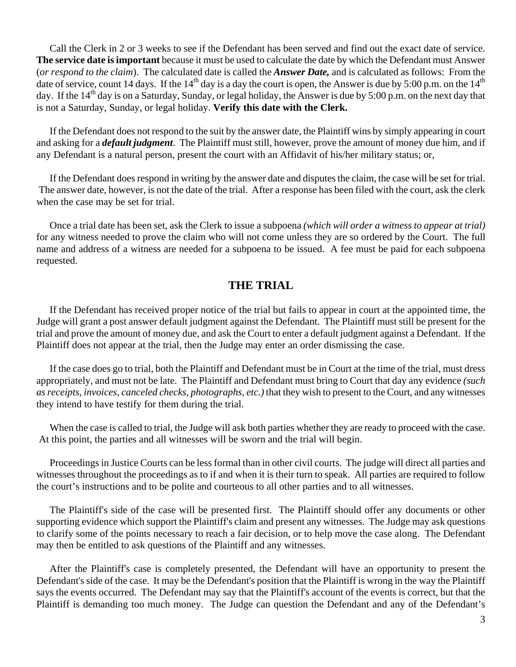Call the Clerk in 2 or 3 weeks to see if the Defendant has been served and find out the exact date of service. **The service date is important** because it must be used to calculate the date by which the Defendant must Answer (*or respond to the claim*). The calculated date is called the *Answer Date,* and is calculated as follows: From the date of service, count 14 days. If the  $14<sup>th</sup>$  day is a day the court is open, the Answer is due by 5:00 p.m. on the  $14<sup>th</sup>$ day. If the  $14<sup>th</sup>$  day is on a Saturday, Sunday, or legal holiday, the Answer is due by 5:00 p.m. on the next day that is not a Saturday, Sunday, or legal holiday. **Verify this date with the Clerk.** 

If the Defendant does not respond to the suit by the answer date, the Plaintiff wins by simply appearing in court and asking for a *default judgment*. The Plaintiff must still, however, prove the amount of money due him, and if any Defendant is a natural person, present the court with an Affidavit of his/her military status; or,

If the Defendant does respond in writing by the answer date and disputes the claim, the case will be set for trial. The answer date, however, is not the date of the trial. After a response has been filed with the court, ask the clerk when the case may be set for trial.

Once a trial date has been set, ask the Clerk to issue a subpoena *(which will order a witness to appear at trial)* for any witness needed to prove the claim who will not come unless they are so ordered by the Court. The full name and address of a witness are needed for a subpoena to be issued. A fee must be paid for each subpoena requested.

### **THE TRIAL**

If the Defendant has received proper notice of the trial but fails to appear in court at the appointed time, the Judge will grant a post answer default judgment against the Defendant. The Plaintiff must still be present for the trial and prove the amount of money due, and ask the Court to enter a default judgment against a Defendant. If the Plaintiff does not appear at the trial, then the Judge may enter an order dismissing the case.

If the case does go to trial, both the Plaintiff and Defendant must be in Court at the time of the trial, must dress appropriately, and must not be late. The Plaintiff and Defendant must bring to Court that day any evidence *(such as receipts, invoices, canceled checks, photographs, etc.)* that they wish to present to the Court, and any witnesses they intend to have testify for them during the trial.

When the case is called to trial, the Judge will ask both parties whether they are ready to proceed with the case. At this point, the parties and all witnesses will be sworn and the trial will begin.

Proceedings in Justice Courts can be less formal than in other civil courts. The judge will direct all parties and witnesses throughout the proceedings as to if and when it is their turn to speak. All parties are required to follow the court's instructions and to be polite and courteous to all other parties and to all witnesses.

The Plaintiff's side of the case will be presented first. The Plaintiff should offer any documents or other supporting evidence which support the Plaintiff's claim and present any witnesses. The Judge may ask questions to clarify some of the points necessary to reach a fair decision, or to help move the case along. The Defendant may then be entitled to ask questions of the Plaintiff and any witnesses.

After the Plaintiff's case is completely presented, the Defendant will have an opportunity to present the Defendant's side of the case. It may be the Defendant's position that the Plaintiff is wrong in the way the Plaintiff says the events occurred. The Defendant may say that the Plaintiff's account of the events is correct, but that the Plaintiff is demanding too much money. The Judge can question the Defendant and any of the Defendant's